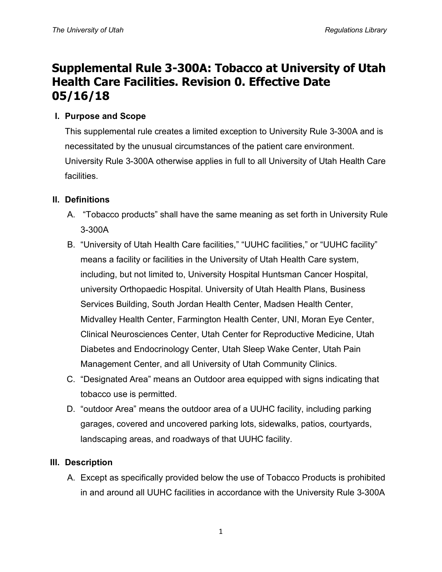# **Supplemental Rule 3-300A: Tobacco at University of Utah Health Care Facilities. Revision 0. Effective Date 05/16/18**

## **I. Purpose and Scope**

This supplemental rule creates a limited exception to University Rule 3-300A and is necessitated by the unusual circumstances of the patient care environment. University Rule 3-300A otherwise applies in full to all University of Utah Health Care facilities.

## **II. Definitions**

- A. "Tobacco products" shall have the same meaning as set forth in University Rule 3-300A
- B. "University of Utah Health Care facilities," "UUHC facilities," or "UUHC facility" means a facility or facilities in the University of Utah Health Care system, including, but not limited to, University Hospital Huntsman Cancer Hospital, university Orthopaedic Hospital. University of Utah Health Plans, Business Services Building, South Jordan Health Center, Madsen Health Center, Midvalley Health Center, Farmington Health Center, UNI, Moran Eye Center, Clinical Neurosciences Center, Utah Center for Reproductive Medicine, Utah Diabetes and Endocrinology Center, Utah Sleep Wake Center, Utah Pain Management Center, and all University of Utah Community Clinics.
- C. "Designated Area" means an Outdoor area equipped with signs indicating that tobacco use is permitted.
- D. "outdoor Area" means the outdoor area of a UUHC facility, including parking garages, covered and uncovered parking lots, sidewalks, patios, courtyards, landscaping areas, and roadways of that UUHC facility.

### **III. Description**

A. Except as specifically provided below the use of Tobacco Products is prohibited in and around all UUHC facilities in accordance with the University Rule 3-300A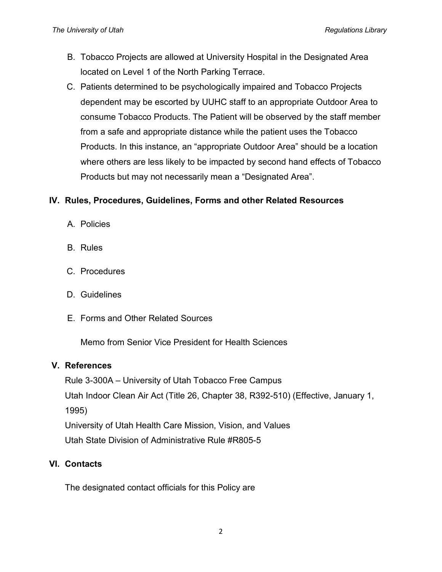- B. Tobacco Projects are allowed at University Hospital in the Designated Area located on Level 1 of the North Parking Terrace.
- C. Patients determined to be psychologically impaired and Tobacco Projects dependent may be escorted by UUHC staff to an appropriate Outdoor Area to consume Tobacco Products. The Patient will be observed by the staff member from a safe and appropriate distance while the patient uses the Tobacco Products. In this instance, an "appropriate Outdoor Area" should be a location where others are less likely to be impacted by second hand effects of Tobacco Products but may not necessarily mean a "Designated Area".

#### **IV. Rules, Procedures, Guidelines, Forms and other Related Resources**

- A. Policies
- B. Rules
- C. Procedures
- D. Guidelines
- E. Forms and Other Related Sources

Memo from Senior Vice President for Health Sciences

#### **V. References**

Rule 3-300A – University of Utah Tobacco Free Campus Utah Indoor Clean Air Act (Title 26, Chapter 38, R392-510) (Effective, January 1, 1995) University of Utah Health Care Mission, Vision, and Values Utah State Division of Administrative Rule #R805-5

#### **VI. Contacts**

The designated contact officials for this Policy are